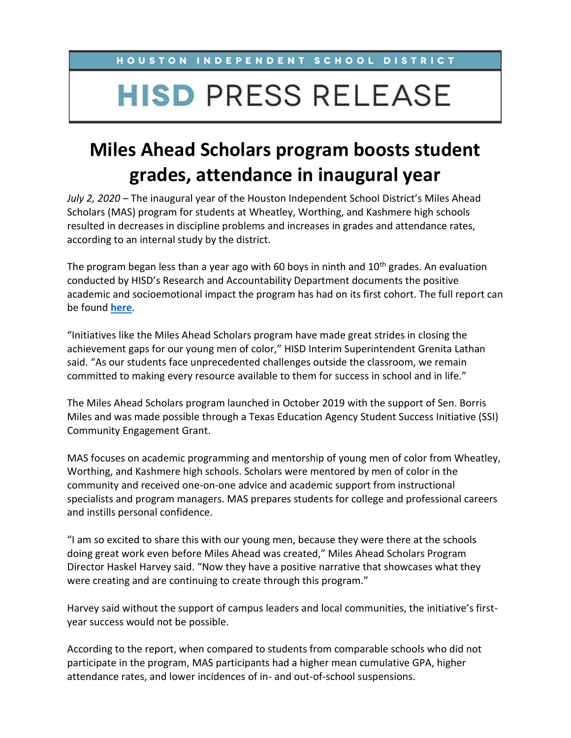## **HISD PRESS RELEASE**

## **Miles Ahead Scholars program boosts student grades, attendance in inaugural year**

*July 2, 2020 –* The inaugural year of the Houston Independent School District's Miles Ahead Scholars (MAS) program for students at Wheatley, Worthing, and Kashmere high schools resulted in decreases in discipline problems and increases in grades and attendance rates, according to an internal study by the district.

The program began less than a year ago with 60 boys in ninth and  $10<sup>th</sup>$  grades. An evaluation conducted by HISD's Research and Accountability Department documents the positive academic and socioemotional impact the program has had on its first cohort. The full report can be found **[here](https://blogs.houstonisd.org/news/wp-content/uploads/sites/2/2020/07/Binder3-MAS-Final-Final-002.pdf)**.

"Initiatives like the Miles Ahead Scholars program have made great strides in closing the achievement gaps for our young men of color," HISD Interim Superintendent Grenita Lathan said. "As our students face unprecedented challenges outside the classroom, we remain committed to making every resource available to them for success in school and in life."

The Miles Ahead Scholars program launched in October 2019 with the support of Sen. Borris Miles and was made possible through a Texas Education Agency Student Success Initiative (SSI) Community Engagement Grant.

MAS focuses on academic programming and mentorship of young men of color from Wheatley, Worthing, and Kashmere high schools. Scholars were mentored by men of color in the community and received one-on-one advice and academic support from instructional specialists and program managers. MAS prepares students for college and professional careers and instills personal confidence.

"I am so excited to share this with our young men, because they were there at the schools doing great work even before Miles Ahead was created," Miles Ahead Scholars Program Director Haskel Harvey said. "Now they have a positive narrative that showcases what they were creating and are continuing to create through this program."

Harvey said without the support of campus leaders and local communities, the initiative's firstyear success would not be possible.

According to the report, when compared to students from comparable schools who did not participate in the program, MAS participants had a higher mean cumulative GPA, higher attendance rates, and lower incidences of in- and out-of-school suspensions.